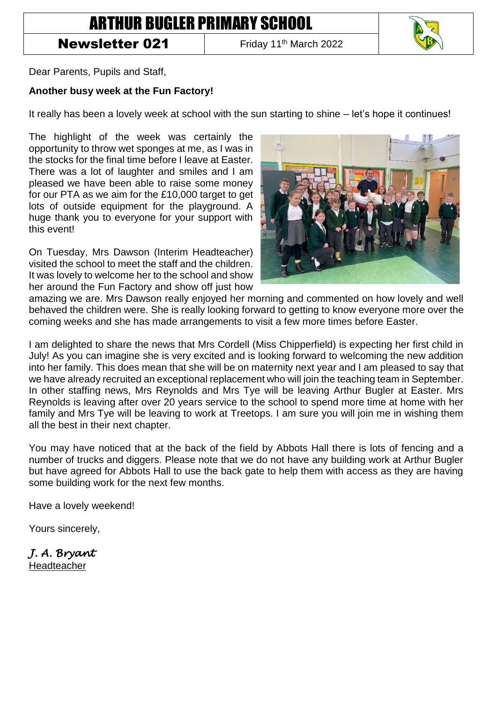## ARTHUR BUGLER PRIMARY SCHOOL

## **Newsletter 021** Friday 11<sup>th</sup> March 2022



Dear Parents, Pupils and Staff,

## **Another busy week at the Fun Factory!**

It really has been a lovely week at school with the sun starting to shine – let's hope it continues!

The highlight of the week was certainly the opportunity to throw wet sponges at me, as I was in the stocks for the final time before I leave at Easter. There was a lot of laughter and smiles and I am pleased we have been able to raise some money for our PTA as we aim for the £10,000 target to get lots of outside equipment for the playground. A huge thank you to everyone for your support with this event!

On Tuesday, Mrs Dawson (Interim Headteacher) visited the school to meet the staff and the children. It was lovely to welcome her to the school and show her around the Fun Factory and show off just how



amazing we are. Mrs Dawson really enjoyed her morning and commented on how lovely and well behaved the children were. She is really looking forward to getting to know everyone more over the coming weeks and she has made arrangements to visit a few more times before Easter.

I am delighted to share the news that Mrs Cordell (Miss Chipperfield) is expecting her first child in July! As you can imagine she is very excited and is looking forward to welcoming the new addition into her family. This does mean that she will be on maternity next year and I am pleased to say that we have already recruited an exceptional replacement who will join the teaching team in September. In other staffing news, Mrs Reynolds and Mrs Tye will be leaving Arthur Bugler at Easter. Mrs Reynolds is leaving after over 20 years service to the school to spend more time at home with her family and Mrs Tye will be leaving to work at Treetops. I am sure you will join me in wishing them all the best in their next chapter.

You may have noticed that at the back of the field by Abbots Hall there is lots of fencing and a number of trucks and diggers. Please note that we do not have any building work at Arthur Bugler but have agreed for Abbots Hall to use the back gate to help them with access as they are having some building work for the next few months.

Have a lovely weekend!

Yours sincerely,

*J. A. Bryant*  Headteacher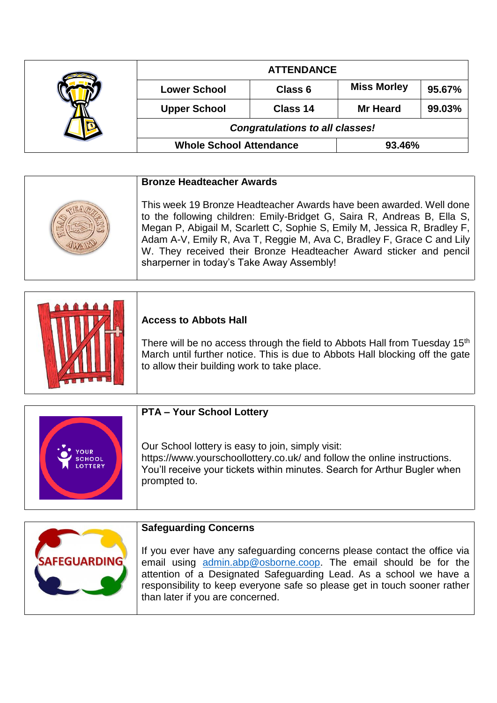|  | <b>ATTENDANCE</b>                      |          |                    |        |
|--|----------------------------------------|----------|--------------------|--------|
|  | <b>Lower School</b>                    | Class 6  | <b>Miss Morley</b> | 95.67% |
|  | <b>Upper School</b>                    | Class 14 | <b>Mr Heard</b>    | 99.03% |
|  | <b>Congratulations to all classes!</b> |          |                    |        |
|  | <b>Whole School Attendance</b>         |          | 93.46%             |        |

| <b>Bronze Headteacher Awards</b>                                                                                                                                                                                                                                                                                                                                                                                        |
|-------------------------------------------------------------------------------------------------------------------------------------------------------------------------------------------------------------------------------------------------------------------------------------------------------------------------------------------------------------------------------------------------------------------------|
| This week 19 Bronze Headteacher Awards have been awarded. Well done<br>to the following children: Emily-Bridget G, Saira R, Andreas B, Ella S,<br>Megan P, Abigail M, Scarlett C, Sophie S, Emily M, Jessica R, Bradley F,<br>Adam A-V, Emily R, Ava T, Reggie M, Ava C, Bradley F, Grace C and Lily<br>W. They received their Bronze Headteacher Award sticker and pencil<br>sharperner in today's Take Away Assembly! |

|  | <b>Access to Abbots Hall</b><br>There will be no access through the field to Abbots Hall from Tuesday 15 <sup>th</sup><br>March until further notice. This is due to Abbots Hall blocking off the gate<br>to allow their building work to take place. |
|--|-------------------------------------------------------------------------------------------------------------------------------------------------------------------------------------------------------------------------------------------------------|
|--|-------------------------------------------------------------------------------------------------------------------------------------------------------------------------------------------------------------------------------------------------------|

|                                              | <b>PTA - Your School Lottery</b>                                                                                                                                                                                           |
|----------------------------------------------|----------------------------------------------------------------------------------------------------------------------------------------------------------------------------------------------------------------------------|
| <b>OUR</b><br><b>SCHOOL</b><br><b>OTTERY</b> | Our School lottery is easy to join, simply visit:<br>https://www.yourschoollottery.co.uk/ and follow the online instructions.<br>You'll receive your tickets within minutes. Search for Arthur Bugler when<br>prompted to. |

|                     | <b>Safeguarding Concerns</b>                                                                                                                                                                                                                                                                                                       |
|---------------------|------------------------------------------------------------------------------------------------------------------------------------------------------------------------------------------------------------------------------------------------------------------------------------------------------------------------------------|
| <b>SAFEGUARDING</b> | If you ever have any safeguarding concerns please contact the office via<br>email using admin.abp@osborne.coop. The email should be for the<br>attention of a Designated Safeguarding Lead. As a school we have a<br>responsibility to keep everyone safe so please get in touch sooner rather<br>than later if you are concerned. |